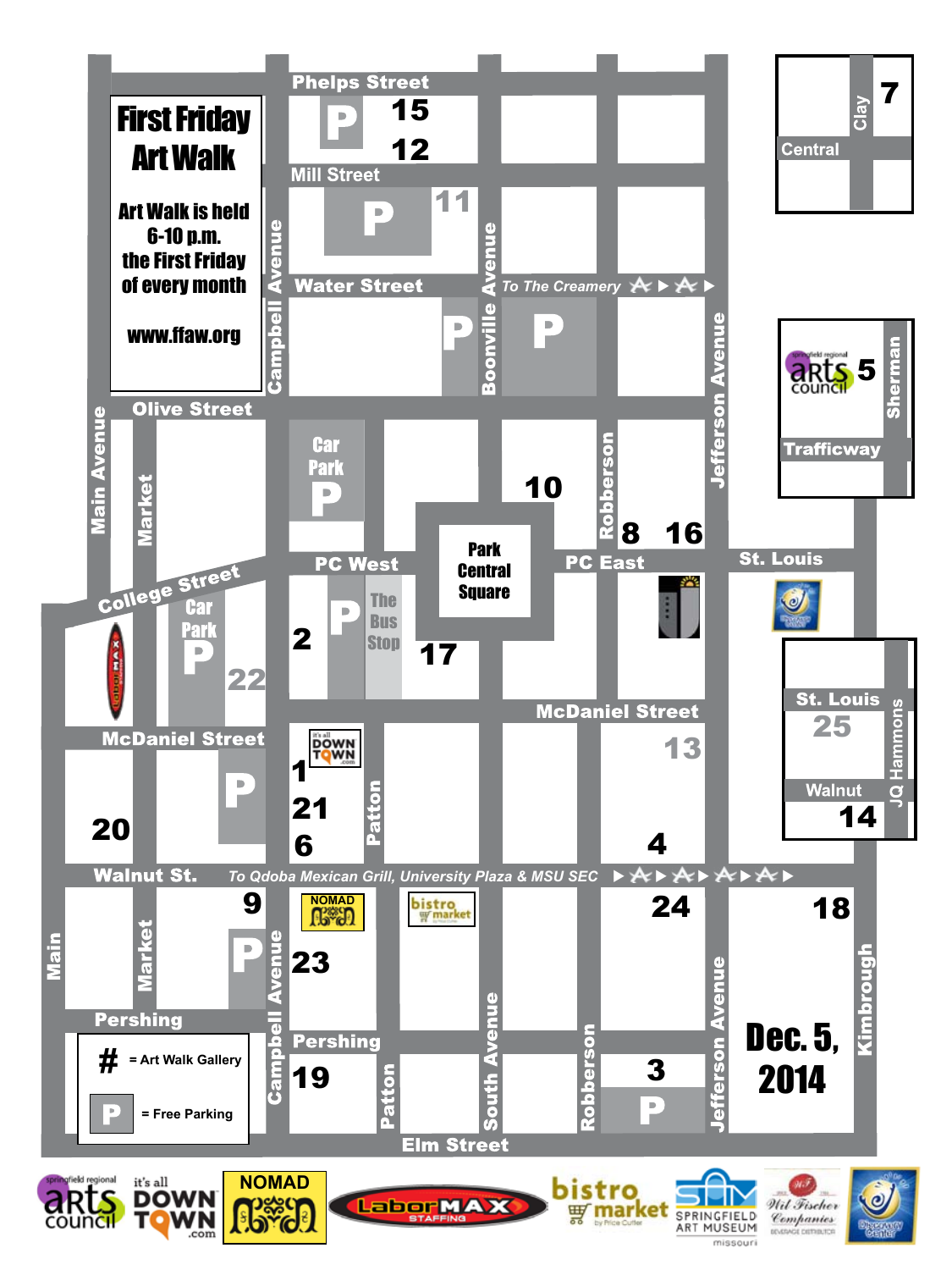